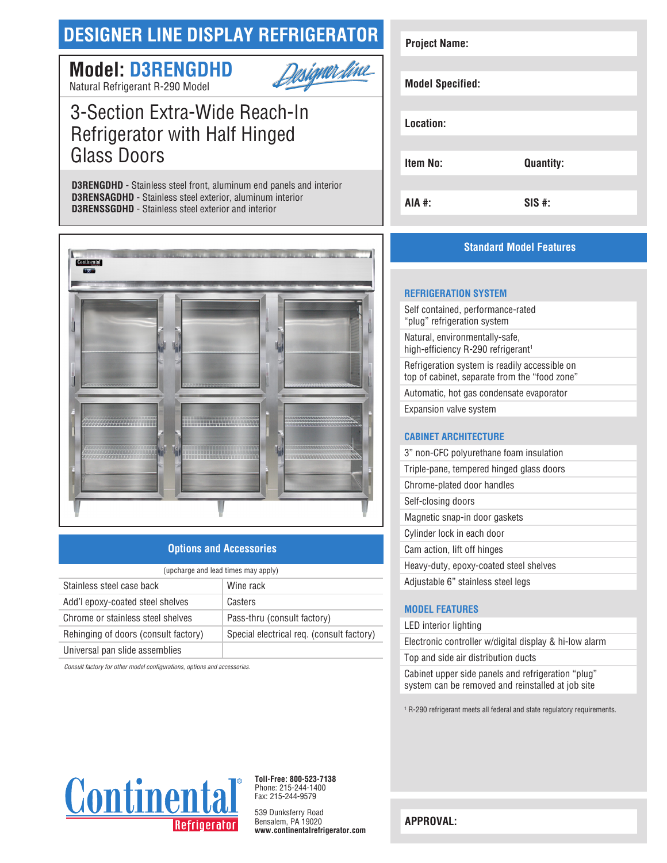# **DESIGNER LINE DISPLAY REFRIGERATOR**

# **Model: D3RENGDHD**



Natural Refrigerant R-290 Model

# 3-Section Extra-Wide Reach-In Refrigerator with Half Hinged Glass Doors

**D3RENGDHD** - Stainless steel front, aluminum end panels and interior **D3RENSAGDHD** - Stainless steel exterior, aluminum interior **D3RENSSGDHD** - Stainless steel exterior and interior



## **Options and Accessories**

| (upcharge and lead times may apply)  |                                           |  |
|--------------------------------------|-------------------------------------------|--|
| Stainless steel case back            | Wine rack                                 |  |
| Add'l epoxy-coated steel shelves     | Casters                                   |  |
| Chrome or stainless steel shelves    | Pass-thru (consult factory)               |  |
| Rehinging of doors (consult factory) | Special electrical req. (consult factory) |  |
| Universal pan slide assemblies       |                                           |  |

*Consult factory for other model configurations, options and accessories.*

| <b>Project Name:</b>    |                  |
|-------------------------|------------------|
| <b>Model Specified:</b> |                  |
| Location:               |                  |
| <b>Item No:</b>         | <b>Quantity:</b> |
| AIA #:                  | $SIS$ #:         |

# **Standard Model Features**

### **REFRIGERATION SYSTEM**

Self contained, performance-rated "plug" refrigeration system Natural, environmentally-safe, high-efficiency R-290 refrigerant<sup>1</sup> Refrigeration system is readily accessible on top of cabinet, separate from the "food zone" Automatic, hot gas condensate evaporator Expansion valve system

## **CABINET ARCHITECTURE**

| 3" non-CFC polyurethane foam insulation  |
|------------------------------------------|
| Triple-pane, tempered hinged glass doors |
| Chrome-plated door handles               |
| Self-closing doors                       |
| Magnetic snap-in door gaskets            |
| Cylinder lock in each door               |
| Cam action, lift off hinges              |
| Heavy-duty, epoxy-coated steel shelves   |
| Adjustable 6" stainless steel legs       |

## **MODEL FEATURES**

LED interior lighting

Electronic controller w/digital display & hi-low alarm Top and side air distribution ducts

Cabinet upper side panels and refrigeration "plug" system can be removed and reinstalled at job site

1 R-290 refrigerant meets all federal and state regulatory requirements.



**Toll-Free: 800-523-7138** Phone: 215-244-1400 Fax: 215-244-9579

539 Dunksferry Road Bensalem, PA 19020 **www.continentalrefrigerator.com** 

**APPROVAL:**